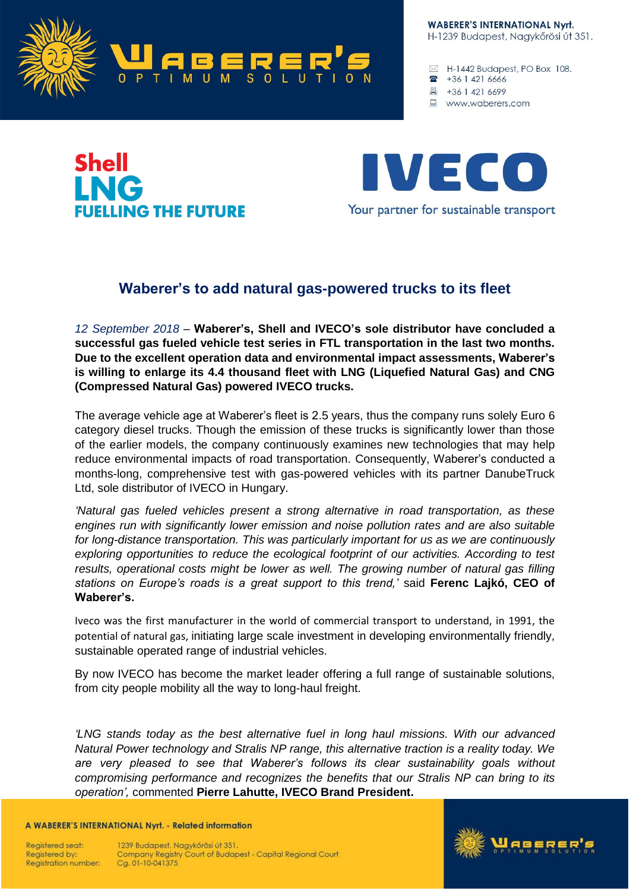

**WABERER'S INTERNATIONAL Nyrt.** H-1239 Budapest, Nagykőrösi út 351.

 $\boxtimes$  H-1442 Budapest, PO Box 108. • +36 1 42 1 6666

- 昌 +36 1 421 6699
- www.waberers.com

## **Shell ING ELLING THE FUTURE**



## **Waberer's to add natural gas-powered trucks to its fleet**

*12 September 2018* – **Waberer's, Shell and IVECO's sole distributor have concluded a successful gas fueled vehicle test series in FTL transportation in the last two months. Due to the excellent operation data and environmental impact assessments, Waberer's is willing to enlarge its 4.4 thousand fleet with LNG (Liquefied Natural Gas) and CNG (Compressed Natural Gas) powered IVECO trucks.**

The average vehicle age at Waberer's fleet is 2.5 years, thus the company runs solely Euro 6 category diesel trucks. Though the emission of these trucks is significantly lower than those of the earlier models, the company continuously examines new technologies that may help reduce environmental impacts of road transportation. Consequently, Waberer's conducted a months-long, comprehensive test with gas-powered vehicles with its partner DanubeTruck Ltd, sole distributor of IVECO in Hungary.

*'Natural gas fueled vehicles present a strong alternative in road transportation, as these engines run with significantly lower emission and noise pollution rates and are also suitable for long-distance transportation. This was particularly important for us as we are continuously exploring opportunities to reduce the ecological footprint of our activities. According to test results, operational costs might be lower as well. The growing number of natural gas filling stations on Europe's roads is a great support to this trend,'* said **Ferenc Lajkó, CEO of Waberer's.**

Iveco was the first manufacturer in the world of commercial transport to understand, in 1991, the potential of natural gas, initiating large scale investment in developing environmentally friendly, sustainable operated range of industrial vehicles.

By now IVECO has become the market leader offering a full range of sustainable solutions, from city people mobility all the way to long-haul freight.

*'LNG stands today as the best alternative fuel in long haul missions. With our advanced Natural Power technology and Stralis NP range, this alternative traction is a reality today. We are very pleased to see that Waberer's follows its clear sustainability goals without compromising performance and recognizes the benefits that our Stralis NP can bring to its operation',* commented **Pierre Lahutte, IVECO Brand President.**

A WABERER'S INTERNATIONAL Nyrt. - Related information

Reaistered seat: Registered by: **Registration number:**